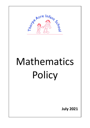

# Mathematics Policy

**July 2021**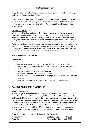# **Mathematics Policy**

This policy outlines the teaching, organisation and management of mathematics taught and learnt at Thorpe Acre Infant School.

At Thorpe Acre Infant School we use the National Curriculum for Mathematics (2014) as the basis of our mathematics programme. We supplement this with the White Rose Maths Hub Scheme of work and a Calculation Policy adapted from Discovery Schools Academy Trust.

# Developing Mastery

We are committed to ensuring that all pupils achieve mastery in the key concepts of mathematics, appropriate for their age group, in order that they make genuine progress and avoid gaps in their understanding that provide barriers to learning as they move through education. Our Mathematics curriculum reflects a greater emphasis on mastery of the key skills of mathematics to ensure children have adequate time to develop their fluency and understanding before moving onto a new concept. Assessment for Learning, an emphasis on investigation, problem solving and the development of mathematical thinking and a rigorous approach to the development of teacher subject knowledge are therefore essential components of our approach to this subject.

# **AIMS AND PURPOSES OF MATHS**

Children should:

- develop basic mathematical concepts and skills according to their ability;
- become fluent mathematicians with a solid understanding of the concepts in mathematics;
- develop an ability to reason and problem solve;
- progress and develop clear and logical thought;
- learn to use and apply mathematical knowledge, skills and vocabulary in different contexts;
- learn that mathematics has meaning and relevance to their own lives.

#### **PLANNING, TEACHING AND MANAGEMENT**

#### **The Foundation Stage**

Maths is taught as part of the Area of Learning designated as 'Mathematics' in the EYFS Curriculum. The new EYFS Curriculum (Sept. 2021) is made up of two strands: Number and Numerical Patterns with the aim being to develop a strong grounding in number. The children will receive some whole class and adult led maths teaching and they have access to independent child initiated maths activities daily. Children are given opportunities to work on maths activities both indoors and outdoors. These activities are planned based on the main areas as outlined in the EYFS curriculum. As in the rest of the school, the Maths planned builds on previous learning and allows time for children to develop

| <b>Established by:</b> | <b>Maths Subject Leader</b> | <b>Approved Gov:</b>    |                  |
|------------------------|-----------------------------|-------------------------|------------------|
| <b>Revised by:</b>     |                             | <b>Last reviewed:</b>   | <b>July 2021</b> |
| Page 2 of 6            |                             | <b>Next review due:</b> | <b>July 2023</b> |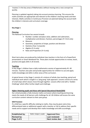'mastery' in the key areas of Mathematics without moving onto a new concept too quickly.

Planning is updated regularly taking into account previous learning. This ensures the maths activities are appropriate and relevant to the children's learning needs and their interests. Maths activities in Continuous Provision are planned taking into account both the children's interests and curriculum coverage.

# **Key Stage 1**

# **Planning**

The National Curriculum has several strands

- Number: number and place value, addition and subtraction, multiplication and division, fractions, percentages (Yr 5 & 6 only)
- Measure
- Geometry: properties of shape, position and direction
- Statistics (Year 2 onwards)
- Algebra (Yr 6 only)
- Ratio and Proportion (Yr 6 only)

Short term plans are produced by individual class teachers in the form of a PowerPoint presentation or Smart Notebook File. These plans include opportunities to review, teach, practise and apply skills in all strands.

#### **Teaching**

In Key Stage 1 children have a daily mathematics session of approximately 45- 60 minutes. Teachers also plan and provide opportunities for children to use and apply maths knowledge and skills in other areas of the curriculum.

A typical lesson in Key Stage 1 consists of a mixture of whole class teaching, paired and individual work which is taught in a 'ping pong' style approach. Lessons consist of a series of small steps which classes move through together. Lessons often end with a 'Golden Challenge' which offers further depth and challenge.

#### **Higher Attaining pupils and those with Special Educational Needs(SEN)**

Our school provides a fully inclusive maths curriculum where teaching and learning meets the needs of all learners with challenge for all. All children will access the same curriculum content relevant to their year group.

#### **SEN Provision**

If a child has a specific difficulty relating to maths, they may be given extra time, differentiated tasks or additional support with a teacher or LSA to address their specific needs and to support and develop their maths knowledge and skills accordingly.

| <b>Established by:</b> | <b>Maths Subject Leader</b> | <b>Approved Gov:</b>    |                  |
|------------------------|-----------------------------|-------------------------|------------------|
| <b>Revised by:</b>     |                             | <b>Last reviewed:</b>   | <b>July 2021</b> |
| Page 3 of 6            |                             | <b>Next review due:</b> | July 2023        |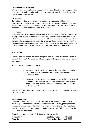#### **Provision for Higher Attainers**

Where children are excelling in an area of maths, they will be given further opportunities to deepen their understanding and apply higher order thinking skills through carefully planned questioning and tasks.

#### **EAL Provision**

Care is taken to diagnose when an error is caused by language proficiency or a mathematical difficulty. When language is the barrier to learning, mathematics is made 'clearer' and opportunities are provided to enable EAL pupils to engage with the learning and convey and develop their mathematical ability.

#### **Intervention**

In line with the mastery approach to teaching Maths rapid intervention happens in class during lessons. However, if further support is required teachers plan for interventions which provide short term targeted support to address misconceptions and enable these learners to be ready to access the next day's learning. These interventions are carefully monitored by class teachers and happen outside of the Maths lesson. Some children may receive support outside of the daily Maths lesson from a Pupil Premium teacher.

#### **ASSESSMENT**

Class teachers are responsible for assessing individual children's attainment in maths in line with the school's Assessment and Recording policy. Progress is reported to parents at least annually.

Maths assessment happens in 2 forms:

- Formative the day to day assessment that takes place continually and informs teacher's short term planning e.g. work samples, observation notes.
- Summative formal assessment that takes place at the end of a strand of learning or a whole year taking into account all evidence gathered through formative assessments e.g. work in books, end of unit reviews, SATS tests (Year 2)

The data from formative assessments is used to judge children's attainment at the end of each term or year.

#### **Assessment records**

Assessment records are kept by all class teachers. In the Foundation Stage teachers continually update children's 'Learning Journeys' with observations, photographs and work samples which details the children's progress in maths. Class teachers also keep more formal records directly relating to learning objectives and Early Learning Goals in the children's maths books.

| <b>Established by:</b> | <b>Maths Subject Leader</b> | <b>Approved Gov:</b>    |                  |
|------------------------|-----------------------------|-------------------------|------------------|
| <b>Revised by:</b>     |                             | <b>Last reviewed:</b>   | <b>July 2021</b> |
| Page 4 of 6            |                             | <b>Next review due:</b> | July 2023        |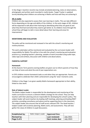In Key Stage 1 teachers records may include annotated planning, notes on observations, photographs and written work recorded in maths books. Target Tracker is updated termly detailing what children are achieving in Maths and how well they are achieving it.

#### **AfL in maths**

Children are also expected to assess their own learning in maths. This can take different forms depending on the age and ability of the children. In the early stages of AfL, children will be expected to talk about their learning by identifying what they are good at and what they find hard and what they need to get better at. As children move through the school they will begin to talk in more detail about their learning and areas for improvement.

# **MONITORING AND EVALUATION**

The policy will be monitored and reviewed in line with the school's monitoring and review practices.

The work undertaken will be monitored and evaluated by the curriculum leader with responsibility for Maths This will be in line with the school's monitoring and evaluation practice e.g. sampling teacher's planning, samples of work (recorded using audio tape, video tape and written), discussion with children and observations.

#### **PARENTAL SUPPORT**

#### **Homework**

At the Autumn Term parents evening leaflets are given out to inform parents of how they can help at home and what the end of year expectations are.

In EYFS children receive homework tasks as and when they are appropriate. Parents are encouraged to celebrate their child's achievement using the 'wow' moments cards.

Children in Key Stage 1 are given weekly Maths homework appropriate to their ability, linked to class work.

#### **Role of Subject Leader**

The Maths subject leader is responsible for the development and monitoring of the maths curriculum to ensure a coherent Maths strategy for the school. They can help teachers with their planning and are responsible for developing the school's policy*.* The subject leader will assist teachers by leading staff meetings, planning and leading INSET activities, providing consultancy and advice and by supporting them in the classroom. The subject leader also ensures that all staff access relevant CPD. The Head teacher / Subject Leader will scrutinise planning, Maths work, and assessments. They will also gather the views of children in pupil discussions.

| <b>Established by:</b> | Maths Subject Leader | ' Approved Gov:         |                  |
|------------------------|----------------------|-------------------------|------------------|
| <b>Revised by:</b>     |                      | <b>Last reviewed:</b>   | <b>July 2021</b> |
| Page 5 of 6            |                      | <b>Next review due:</b> | <b>July 2023</b> |